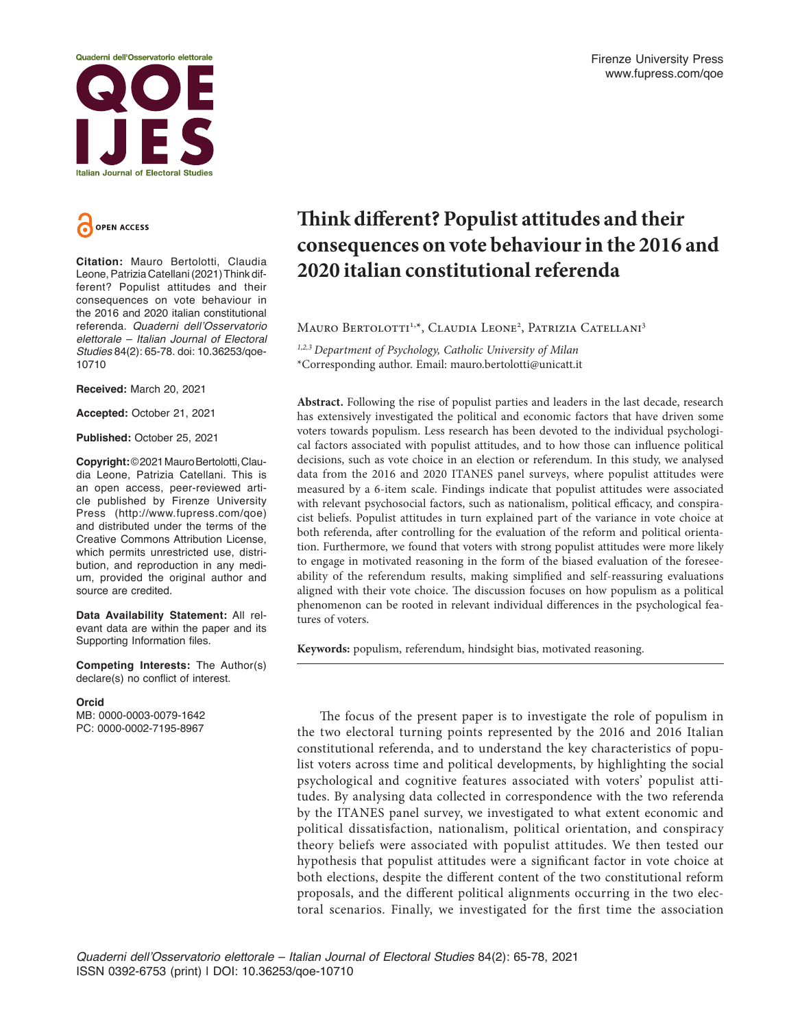



**Citation:** Mauro Bertolotti, Claudia Leone, Patrizia Catellani (2021) Think different? Populist attitudes and their consequences on vote behaviour in the 2016 and 2020 italian constitutional referenda. Quaderni dell'Osservatorio elettorale – Italian Journal of Electoral Studies 84(2): 65-78. doi: 10.36253/qoe-10710

**Received:** March 20, 2021

**Accepted:** October 21, 2021

**Published:** October 25, 2021

**Copyright:** © 2021 Mauro Bertolotti, Claudia Leone, Patrizia Catellani. This is an open access, peer-reviewed article published by Firenze University Press (http://www.fupress.com/qoe) and distributed under the terms of the Creative Commons Attribution License, which permits unrestricted use, distribution, and reproduction in any medium, provided the original author and source are credited.

**Data Availability Statement:** All relevant data are within the paper and its Supporting Information files.

**Competing Interests:** The Author(s) declare(s) no conflict of interest.

#### **Orcid**

MB: 0000-0003-0079-1642 PC: 0000-0002-7195-8967

# **Think different? Populist attitudes and their consequences on vote behaviour in the 2016 and 2020 italian constitutional referenda**

Mauro Bertolotti<sup>1,\*</sup>, Claudia Leone<sup>2</sup>, Patrizia Catellani<sup>3</sup>

*1,2,3 Department of Psychology, Catholic University of Milan* \*Corresponding author. Email: mauro.bertolotti@unicatt.it

**Abstract.** Following the rise of populist parties and leaders in the last decade, research has extensively investigated the political and economic factors that have driven some voters towards populism. Less research has been devoted to the individual psychological factors associated with populist attitudes, and to how those can influence political decisions, such as vote choice in an election or referendum. In this study, we analysed data from the 2016 and 2020 ITANES panel surveys, where populist attitudes were measured by a 6-item scale. Findings indicate that populist attitudes were associated with relevant psychosocial factors, such as nationalism, political efficacy, and conspiracist beliefs. Populist attitudes in turn explained part of the variance in vote choice at both referenda, after controlling for the evaluation of the reform and political orientation. Furthermore, we found that voters with strong populist attitudes were more likely to engage in motivated reasoning in the form of the biased evaluation of the foreseeability of the referendum results, making simplified and self-reassuring evaluations aligned with their vote choice. The discussion focuses on how populism as a political phenomenon can be rooted in relevant individual differences in the psychological features of voters.

**Keywords:** populism, referendum, hindsight bias, motivated reasoning.

The focus of the present paper is to investigate the role of populism in the two electoral turning points represented by the 2016 and 2016 Italian constitutional referenda, and to understand the key characteristics of populist voters across time and political developments, by highlighting the social psychological and cognitive features associated with voters' populist attitudes. By analysing data collected in correspondence with the two referenda by the ITANES panel survey, we investigated to what extent economic and political dissatisfaction, nationalism, political orientation, and conspiracy theory beliefs were associated with populist attitudes. We then tested our hypothesis that populist attitudes were a significant factor in vote choice at both elections, despite the different content of the two constitutional reform proposals, and the different political alignments occurring in the two electoral scenarios. Finally, we investigated for the first time the association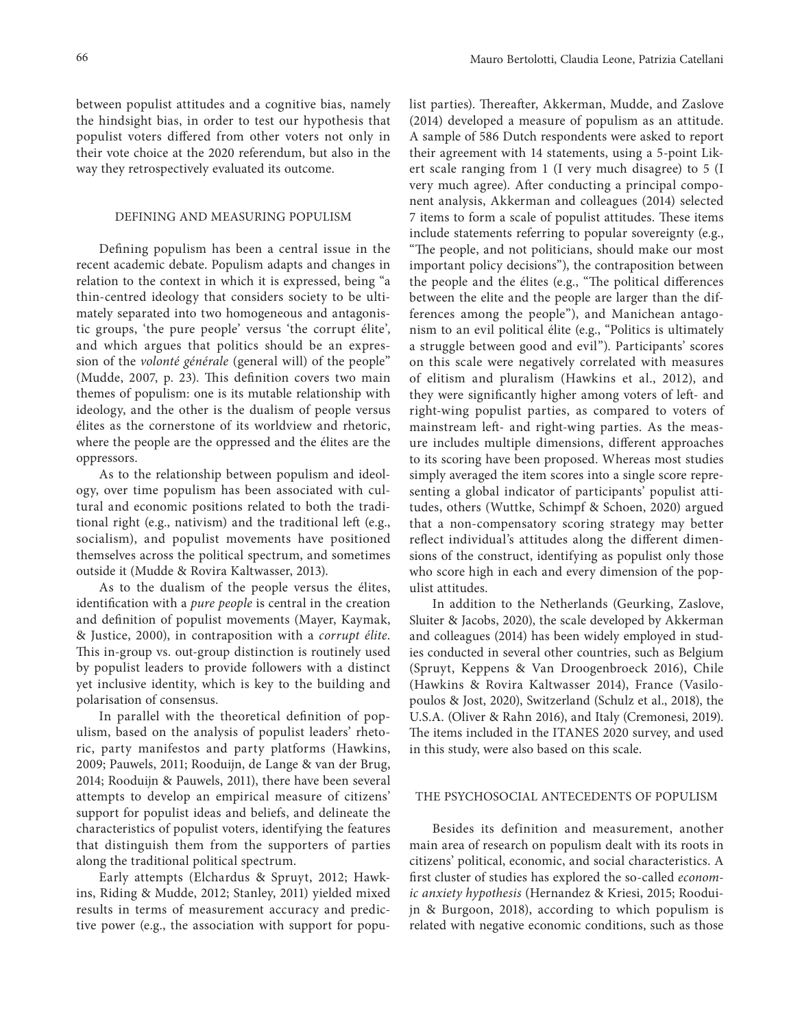between populist attitudes and a cognitive bias, namely the hindsight bias, in order to test our hypothesis that populist voters differed from other voters not only in their vote choice at the 2020 referendum, but also in the way they retrospectively evaluated its outcome.

#### DEFINING AND MEASURING POPULISM

Defining populism has been a central issue in the recent academic debate. Populism adapts and changes in relation to the context in which it is expressed, being "a thin-centred ideology that considers society to be ultimately separated into two homogeneous and antagonistic groups, 'the pure people' versus 'the corrupt élite', and which argues that politics should be an expression of the *volonté générale* (general will) of the people" (Mudde, 2007, p. 23). This definition covers two main themes of populism: one is its mutable relationship with ideology, and the other is the dualism of people versus élites as the cornerstone of its worldview and rhetoric, where the people are the oppressed and the élites are the oppressors.

As to the relationship between populism and ideology, over time populism has been associated with cultural and economic positions related to both the traditional right (e.g., nativism) and the traditional left (e.g., socialism), and populist movements have positioned themselves across the political spectrum, and sometimes outside it (Mudde & Rovira Kaltwasser, 2013).

As to the dualism of the people versus the élites, identification with a *pure people* is central in the creation and definition of populist movements (Mayer, Kaymak, & Justice, 2000), in contraposition with a *corrupt élite*. This in-group vs. out-group distinction is routinely used by populist leaders to provide followers with a distinct yet inclusive identity, which is key to the building and polarisation of consensus.

In parallel with the theoretical definition of populism, based on the analysis of populist leaders' rhetoric, party manifestos and party platforms (Hawkins, 2009; Pauwels, 2011; Rooduijn, de Lange & van der Brug, 2014; Rooduijn & Pauwels, 2011), there have been several attempts to develop an empirical measure of citizens' support for populist ideas and beliefs, and delineate the characteristics of populist voters, identifying the features that distinguish them from the supporters of parties along the traditional political spectrum.

Early attempts (Elchardus & Spruyt, 2012; Hawkins, Riding & Mudde, 2012; Stanley, 2011) yielded mixed results in terms of measurement accuracy and predictive power (e.g., the association with support for populist parties). Thereafter, Akkerman, Mudde, and Zaslove (2014) developed a measure of populism as an attitude. A sample of 586 Dutch respondents were asked to report their agreement with 14 statements, using a 5-point Likert scale ranging from 1 (I very much disagree) to 5 (I very much agree). After conducting a principal component analysis, Akkerman and colleagues (2014) selected 7 items to form a scale of populist attitudes. These items include statements referring to popular sovereignty (e.g., "The people, and not politicians, should make our most important policy decisions"), the contraposition between the people and the élites (e.g., "The political differences between the elite and the people are larger than the differences among the people"), and Manichean antagonism to an evil political élite (e.g., "Politics is ultimately a struggle between good and evil"). Participants' scores on this scale were negatively correlated with measures of elitism and pluralism (Hawkins et al., 2012), and they were significantly higher among voters of left- and right-wing populist parties, as compared to voters of mainstream left- and right-wing parties. As the measure includes multiple dimensions, different approaches to its scoring have been proposed. Whereas most studies simply averaged the item scores into a single score representing a global indicator of participants' populist attitudes, others (Wuttke, Schimpf & Schoen, 2020) argued that a non-compensatory scoring strategy may better reflect individual's attitudes along the different dimensions of the construct, identifying as populist only those who score high in each and every dimension of the populist attitudes.

In addition to the Netherlands (Geurking, Zaslove, Sluiter & Jacobs, 2020), the scale developed by Akkerman and colleagues (2014) has been widely employed in studies conducted in several other countries, such as Belgium (Spruyt, Keppens & Van Droogenbroeck 2016), Chile (Hawkins & Rovira Kaltwasser 2014), France (Vasilopoulos & Jost, 2020), Switzerland (Schulz et al., 2018), the U.S.A. (Oliver & Rahn 2016), and Italy (Cremonesi, 2019). The items included in the ITANES 2020 survey, and used in this study, were also based on this scale.

#### THE PSYCHOSOCIAL ANTECEDENTS OF POPULISM

Besides its definition and measurement, another main area of research on populism dealt with its roots in citizens' political, economic, and social characteristics. A first cluster of studies has explored the so-called *economic anxiety hypothesis* (Hernandez & Kriesi, 2015; Rooduijn & Burgoon, 2018), according to which populism is related with negative economic conditions, such as those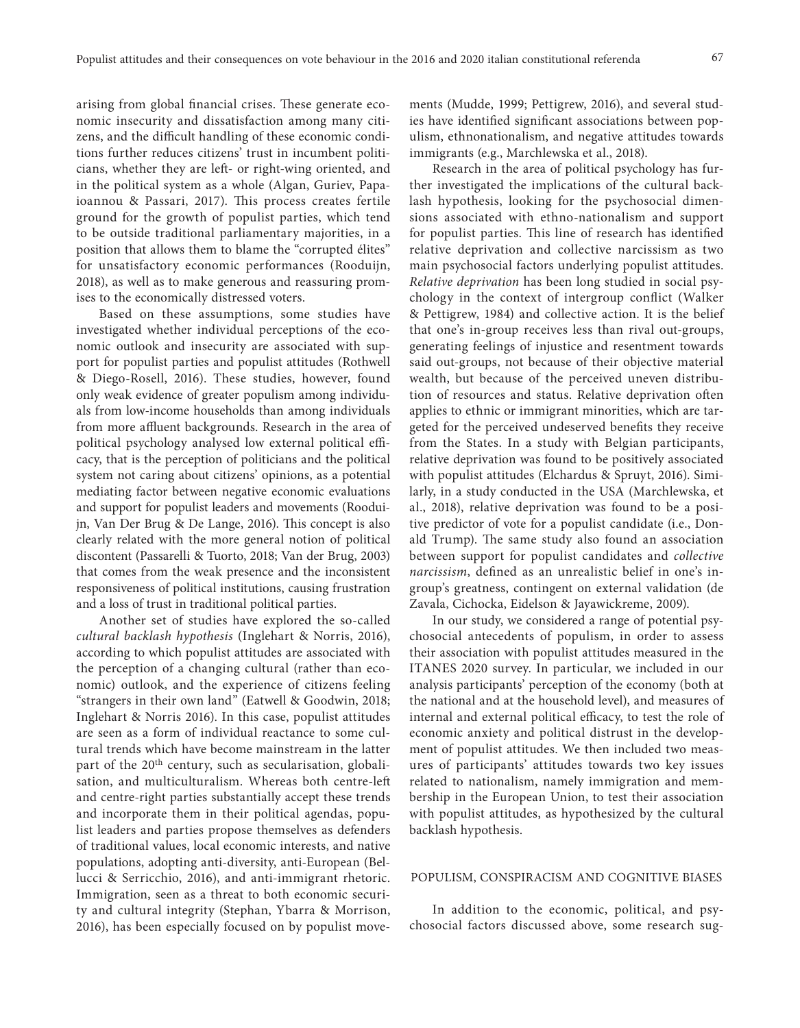arising from global financial crises. These generate economic insecurity and dissatisfaction among many citizens, and the difficult handling of these economic conditions further reduces citizens' trust in incumbent politicians, whether they are left- or right-wing oriented, and in the political system as a whole (Algan, Guriev, Papaioannou & Passari, 2017). This process creates fertile ground for the growth of populist parties, which tend to be outside traditional parliamentary majorities, in a position that allows them to blame the "corrupted élites" for unsatisfactory economic performances (Rooduijn, 2018), as well as to make generous and reassuring promises to the economically distressed voters.

Based on these assumptions, some studies have investigated whether individual perceptions of the economic outlook and insecurity are associated with support for populist parties and populist attitudes (Rothwell & Diego-Rosell, 2016). These studies, however, found only weak evidence of greater populism among individuals from low-income households than among individuals from more affluent backgrounds. Research in the area of political psychology analysed low external political efficacy, that is the perception of politicians and the political system not caring about citizens' opinions, as a potential mediating factor between negative economic evaluations and support for populist leaders and movements (Rooduijn, Van Der Brug & De Lange, 2016). This concept is also clearly related with the more general notion of political discontent (Passarelli & Tuorto, 2018; Van der Brug, 2003) that comes from the weak presence and the inconsistent responsiveness of political institutions, causing frustration and a loss of trust in traditional political parties.

Another set of studies have explored the so-called *cultural backlash hypothesis* (Inglehart & Norris, 2016), according to which populist attitudes are associated with the perception of a changing cultural (rather than economic) outlook, and the experience of citizens feeling "strangers in their own land" (Eatwell & Goodwin, 2018; Inglehart & Norris 2016). In this case, populist attitudes are seen as a form of individual reactance to some cultural trends which have become mainstream in the latter part of the 20<sup>th</sup> century, such as secularisation, globalisation, and multiculturalism. Whereas both centre-left and centre-right parties substantially accept these trends and incorporate them in their political agendas, populist leaders and parties propose themselves as defenders of traditional values, local economic interests, and native populations, adopting anti-diversity, anti-European (Bellucci & Serricchio, 2016), and anti-immigrant rhetoric. Immigration, seen as a threat to both economic security and cultural integrity (Stephan, Ybarra & Morrison, 2016), has been especially focused on by populist move-

ments (Mudde, 1999; Pettigrew, 2016), and several studies have identified significant associations between populism, ethnonationalism, and negative attitudes towards immigrants (e.g., Marchlewska et al., 2018).

Research in the area of political psychology has further investigated the implications of the cultural backlash hypothesis, looking for the psychosocial dimensions associated with ethno-nationalism and support for populist parties. This line of research has identified relative deprivation and collective narcissism as two main psychosocial factors underlying populist attitudes. *Relative deprivation* has been long studied in social psychology in the context of intergroup conflict (Walker & Pettigrew, 1984) and collective action. It is the belief that one's in-group receives less than rival out-groups, generating feelings of injustice and resentment towards said out-groups, not because of their objective material wealth, but because of the perceived uneven distribution of resources and status. Relative deprivation often applies to ethnic or immigrant minorities, which are targeted for the perceived undeserved benefits they receive from the States. In a study with Belgian participants, relative deprivation was found to be positively associated with populist attitudes (Elchardus & Spruyt, 2016). Similarly, in a study conducted in the USA (Marchlewska, et al., 2018), relative deprivation was found to be a positive predictor of vote for a populist candidate (i.e., Donald Trump). The same study also found an association between support for populist candidates and *collective narcissism*, defined as an unrealistic belief in one's ingroup's greatness, contingent on external validation (de Zavala, Cichocka, Eidelson & Jayawickreme, 2009).

In our study, we considered a range of potential psychosocial antecedents of populism, in order to assess their association with populist attitudes measured in the ITANES 2020 survey. In particular, we included in our analysis participants' perception of the economy (both at the national and at the household level), and measures of internal and external political efficacy, to test the role of economic anxiety and political distrust in the development of populist attitudes. We then included two measures of participants' attitudes towards two key issues related to nationalism, namely immigration and membership in the European Union, to test their association with populist attitudes, as hypothesized by the cultural backlash hypothesis.

## POPULISM, CONSPIRACISM AND COGNITIVE BIASES

In addition to the economic, political, and psychosocial factors discussed above, some research sug-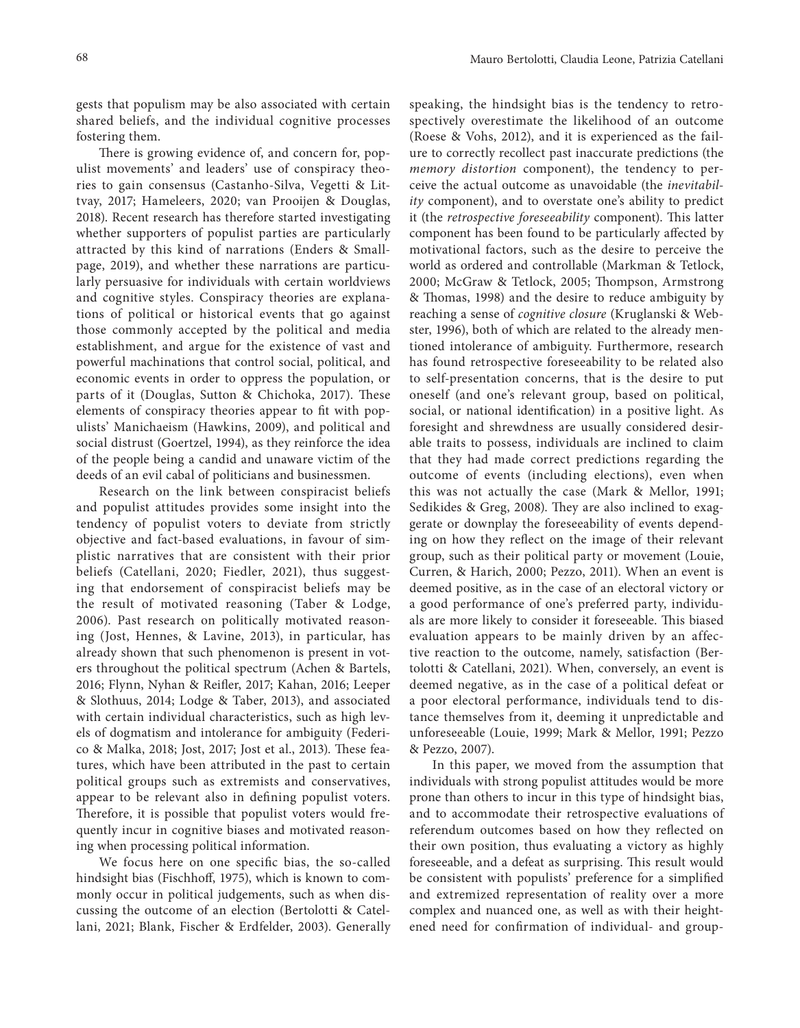gests that populism may be also associated with certain shared beliefs, and the individual cognitive processes fostering them.

There is growing evidence of, and concern for, populist movements' and leaders' use of conspiracy theories to gain consensus (Castanho-Silva, Vegetti & Littvay, 2017; Hameleers, 2020; van Prooijen & Douglas, 2018). Recent research has therefore started investigating whether supporters of populist parties are particularly attracted by this kind of narrations (Enders & Smallpage, 2019), and whether these narrations are particularly persuasive for individuals with certain worldviews and cognitive styles. Conspiracy theories are explanations of political or historical events that go against those commonly accepted by the political and media establishment, and argue for the existence of vast and powerful machinations that control social, political, and economic events in order to oppress the population, or parts of it (Douglas, Sutton & Chichoka, 2017). These elements of conspiracy theories appear to fit with populists' Manichaeism (Hawkins, 2009), and political and social distrust (Goertzel, 1994), as they reinforce the idea of the people being a candid and unaware victim of the deeds of an evil cabal of politicians and businessmen.

Research on the link between conspiracist beliefs and populist attitudes provides some insight into the tendency of populist voters to deviate from strictly objective and fact-based evaluations, in favour of simplistic narratives that are consistent with their prior beliefs (Catellani, 2020; Fiedler, 2021), thus suggesting that endorsement of conspiracist beliefs may be the result of motivated reasoning (Taber & Lodge, 2006). Past research on politically motivated reasoning (Jost, Hennes, & Lavine, 2013), in particular, has already shown that such phenomenon is present in voters throughout the political spectrum (Achen & Bartels, 2016; Flynn, Nyhan & Reifler, 2017; Kahan, 2016; Leeper & Slothuus, 2014; Lodge & Taber, 2013), and associated with certain individual characteristics, such as high levels of dogmatism and intolerance for ambiguity (Federico & Malka, 2018; Jost, 2017; Jost et al., 2013). These features, which have been attributed in the past to certain political groups such as extremists and conservatives, appear to be relevant also in defining populist voters. Therefore, it is possible that populist voters would frequently incur in cognitive biases and motivated reasoning when processing political information.

We focus here on one specific bias, the so-called hindsight bias (Fischhoff, 1975), which is known to commonly occur in political judgements, such as when discussing the outcome of an election (Bertolotti & Catellani, 2021; Blank, Fischer & Erdfelder, 2003). Generally

speaking, the hindsight bias is the tendency to retrospectively overestimate the likelihood of an outcome (Roese & Vohs, 2012), and it is experienced as the failure to correctly recollect past inaccurate predictions (the *memory distortion* component), the tendency to perceive the actual outcome as unavoidable (the *inevitability* component), and to overstate one's ability to predict it (the *retrospective foreseeability* component). This latter component has been found to be particularly affected by motivational factors, such as the desire to perceive the world as ordered and controllable (Markman & Tetlock, 2000; McGraw & Tetlock, 2005; Thompson, Armstrong & Thomas, 1998) and the desire to reduce ambiguity by reaching a sense of *cognitive closure* (Kruglanski & Webster, 1996), both of which are related to the already mentioned intolerance of ambiguity. Furthermore, research has found retrospective foreseeability to be related also to self-presentation concerns, that is the desire to put oneself (and one's relevant group, based on political, social, or national identification) in a positive light. As foresight and shrewdness are usually considered desirable traits to possess, individuals are inclined to claim that they had made correct predictions regarding the outcome of events (including elections), even when this was not actually the case (Mark & Mellor, 1991; Sedikides & Greg, 2008). They are also inclined to exaggerate or downplay the foreseeability of events depending on how they reflect on the image of their relevant group, such as their political party or movement (Louie, Curren, & Harich, 2000; Pezzo, 2011). When an event is deemed positive, as in the case of an electoral victory or a good performance of one's preferred party, individuals are more likely to consider it foreseeable. This biased evaluation appears to be mainly driven by an affective reaction to the outcome, namely, satisfaction (Bertolotti & Catellani, 2021). When, conversely, an event is deemed negative, as in the case of a political defeat or a poor electoral performance, individuals tend to distance themselves from it, deeming it unpredictable and unforeseeable (Louie, 1999; Mark & Mellor, 1991; Pezzo & Pezzo, 2007).

In this paper, we moved from the assumption that individuals with strong populist attitudes would be more prone than others to incur in this type of hindsight bias, and to accommodate their retrospective evaluations of referendum outcomes based on how they reflected on their own position, thus evaluating a victory as highly foreseeable, and a defeat as surprising. This result would be consistent with populists' preference for a simplified and extremized representation of reality over a more complex and nuanced one, as well as with their heightened need for confirmation of individual- and group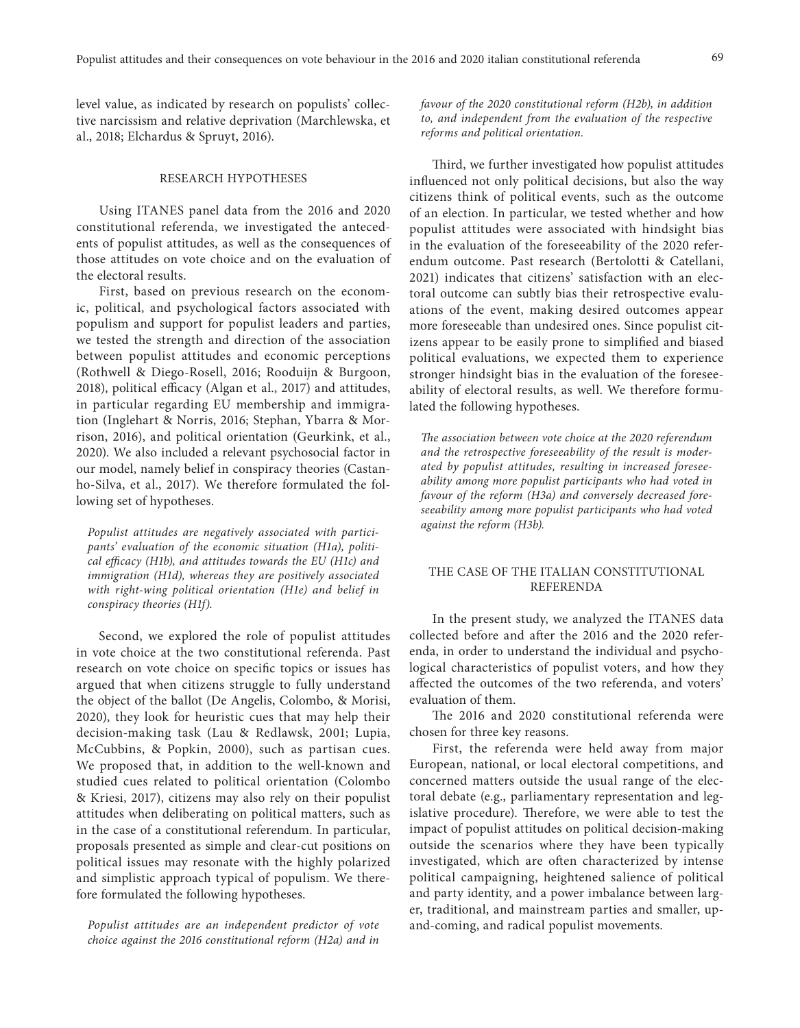level value, as indicated by research on populists' collective narcissism and relative deprivation (Marchlewska, et al., 2018; Elchardus & Spruyt, 2016).

### RESEARCH HYPOTHESES

Using ITANES panel data from the 2016 and 2020 constitutional referenda, we investigated the antecedents of populist attitudes, as well as the consequences of those attitudes on vote choice and on the evaluation of the electoral results.

First, based on previous research on the economic, political, and psychological factors associated with populism and support for populist leaders and parties, we tested the strength and direction of the association between populist attitudes and economic perceptions (Rothwell & Diego-Rosell, 2016; Rooduijn & Burgoon, 2018), political efficacy (Algan et al., 2017) and attitudes, in particular regarding EU membership and immigration (Inglehart & Norris, 2016; Stephan, Ybarra & Morrison, 2016), and political orientation (Geurkink, et al., 2020). We also included a relevant psychosocial factor in our model, namely belief in conspiracy theories (Castanho-Silva, et al., 2017). We therefore formulated the following set of hypotheses.

*Populist attitudes are negatively associated with participants' evaluation of the economic situation (H1a), political efficacy (H1b), and attitudes towards the EU (H1c) and immigration (H1d), whereas they are positively associated with right-wing political orientation (H1e) and belief in conspiracy theories (H1f).*

Second, we explored the role of populist attitudes in vote choice at the two constitutional referenda. Past research on vote choice on specific topics or issues has argued that when citizens struggle to fully understand the object of the ballot (De Angelis, Colombo, & Morisi, 2020), they look for heuristic cues that may help their decision-making task (Lau & Redlawsk, 2001; Lupia, McCubbins, & Popkin, 2000), such as partisan cues. We proposed that, in addition to the well-known and studied cues related to political orientation (Colombo & Kriesi, 2017), citizens may also rely on their populist attitudes when deliberating on political matters, such as in the case of a constitutional referendum. In particular, proposals presented as simple and clear-cut positions on political issues may resonate with the highly polarized and simplistic approach typical of populism. We therefore formulated the following hypotheses.

*Populist attitudes are an independent predictor of vote choice against the 2016 constitutional reform (H2a) and in* 

*favour of the 2020 constitutional reform (H2b), in addition to, and independent from the evaluation of the respective reforms and political orientation.*

Third, we further investigated how populist attitudes influenced not only political decisions, but also the way citizens think of political events, such as the outcome of an election. In particular, we tested whether and how populist attitudes were associated with hindsight bias in the evaluation of the foreseeability of the 2020 referendum outcome. Past research (Bertolotti & Catellani, 2021) indicates that citizens' satisfaction with an electoral outcome can subtly bias their retrospective evaluations of the event, making desired outcomes appear more foreseeable than undesired ones. Since populist citizens appear to be easily prone to simplified and biased political evaluations, we expected them to experience stronger hindsight bias in the evaluation of the foreseeability of electoral results, as well. We therefore formulated the following hypotheses.

*The association between vote choice at the 2020 referendum and the retrospective foreseeability of the result is moderated by populist attitudes, resulting in increased foreseeability among more populist participants who had voted in favour of the reform (H3a) and conversely decreased foreseeability among more populist participants who had voted against the reform (H3b).*

## THE CASE OF THE ITALIAN CONSTITUTIONAL REFERENDA

In the present study, we analyzed the ITANES data collected before and after the 2016 and the 2020 referenda, in order to understand the individual and psychological characteristics of populist voters, and how they affected the outcomes of the two referenda, and voters' evaluation of them.

The 2016 and 2020 constitutional referenda were chosen for three key reasons.

First, the referenda were held away from major European, national, or local electoral competitions, and concerned matters outside the usual range of the electoral debate (e.g., parliamentary representation and legislative procedure). Therefore, we were able to test the impact of populist attitudes on political decision-making outside the scenarios where they have been typically investigated, which are often characterized by intense political campaigning, heightened salience of political and party identity, and a power imbalance between larger, traditional, and mainstream parties and smaller, upand-coming, and radical populist movements.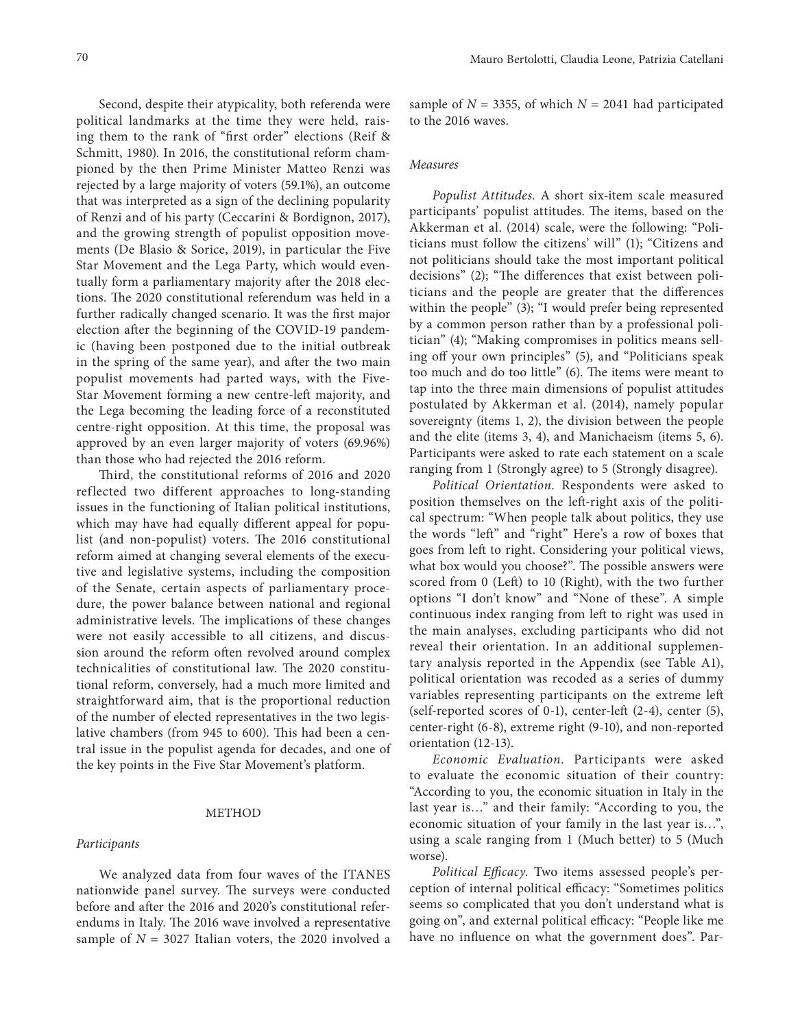Second, despite their atypicality, both referenda were political landmarks at the time they were held, raising them to the rank of "first order" elections (Reif & Schmitt, 1980). In 2016, the constitutional reform championed by the then Prime Minister Matteo Renzi was rejected by a large majority of voters (59.1%), an outcome that was interpreted as a sign of the declining popularity of Renzi and of his party (Ceccarini & Bordignon, 2017), and the growing strength of populist opposition movements (De Blasio & Sorice, 2019), in particular the Five Star Movement and the Lega Party, which would eventually form a parliamentary majority after the 2018 elections. The 2020 constitutional referendum was held in a further radically changed scenario. It was the first major election after the beginning of the COVID-19 pandemic (having been postponed due to the initial outbreak in the spring of the same year), and after the two main populist movements had parted ways, with the Five-Star Movement forming a new centre-left majority, and the Lega becoming the leading force of a reconstituted centre-right opposition. At this time, the proposal was approved by an even larger majority of voters (69.96%) than those who had rejected the 2016 reform.

Third, the constitutional reforms of 2016 and 2020 reflected two different approaches to long-standing issues in the functioning of Italian political institutions, which may have had equally different appeal for populist (and non-populist) voters. The 2016 constitutional reform aimed at changing several elements of the executive and legislative systems, including the composition of the Senate, certain aspects of parliamentary procedure, the power balance between national and regional administrative levels. The implications of these changes were not easily accessible to all citizens, and discussion around the reform often revolved around complex technicalities of constitutional law. The 2020 constitutional reform, conversely, had a much more limited and straightforward aim, that is the proportional reduction of the number of elected representatives in the two legislative chambers (from 945 to 600). This had been a central issue in the populist agenda for decades, and one of the key points in the Five Star Movement's platform.

# METHOD

#### *Participants*

We analyzed data from four waves of the ITANES nationwide panel survey. The surveys were conducted before and after the 2016 and 2020's constitutional referendums in Italy. The 2016 wave involved a representative sample of  $N = 3027$  Italian voters, the 2020 involved a sample of  $N = 3355$ , of which  $N = 2041$  had participated to the 2016 waves.

## *Measures*

*Populist Attitudes.* A short six-item scale measured participants' populist attitudes. The items, based on the Akkerman et al. (2014) scale, were the following: "Politicians must follow the citizens' will" (1); "Citizens and not politicians should take the most important political decisions" (2); "The differences that exist between politicians and the people are greater that the differences within the people" (3); "I would prefer being represented by a common person rather than by a professional politician" (4); "Making compromises in politics means selling off your own principles" (5), and "Politicians speak too much and do too little" (6). The items were meant to tap into the three main dimensions of populist attitudes postulated by Akkerman et al. (2014), namely popular sovereignty (items 1, 2), the division between the people and the elite (items 3, 4), and Manichaeism (items 5, 6). Participants were asked to rate each statement on a scale ranging from 1 (Strongly agree) to 5 (Strongly disagree).

*Political Orientation.* Respondents were asked to position themselves on the left-right axis of the political spectrum: "When people talk about politics, they use the words "left" and "right" Here's a row of boxes that goes from left to right. Considering your political views, what box would you choose?". The possible answers were scored from 0 (Left) to 10 (Right), with the two further options "I don't know" and "None of these". A simple continuous index ranging from left to right was used in the main analyses, excluding participants who did not reveal their orientation. In an additional supplementary analysis reported in the Appendix (see Table A1), political orientation was recoded as a series of dummy variables representing participants on the extreme left (self-reported scores of 0-1), center-left (2-4), center (5), center-right (6-8), extreme right (9-10), and non-reported orientation (12-13).

*Economic Evaluation.* Participants were asked to evaluate the economic situation of their country: "According to you, the economic situation in Italy in the last year is…" and their family: "According to you, the economic situation of your family in the last year is…", using a scale ranging from 1 (Much better) to 5 (Much worse).

*Political Efficacy.* Two items assessed people's perception of internal political efficacy: "Sometimes politics seems so complicated that you don't understand what is going on", and external political efficacy: "People like me have no influence on what the government does". Par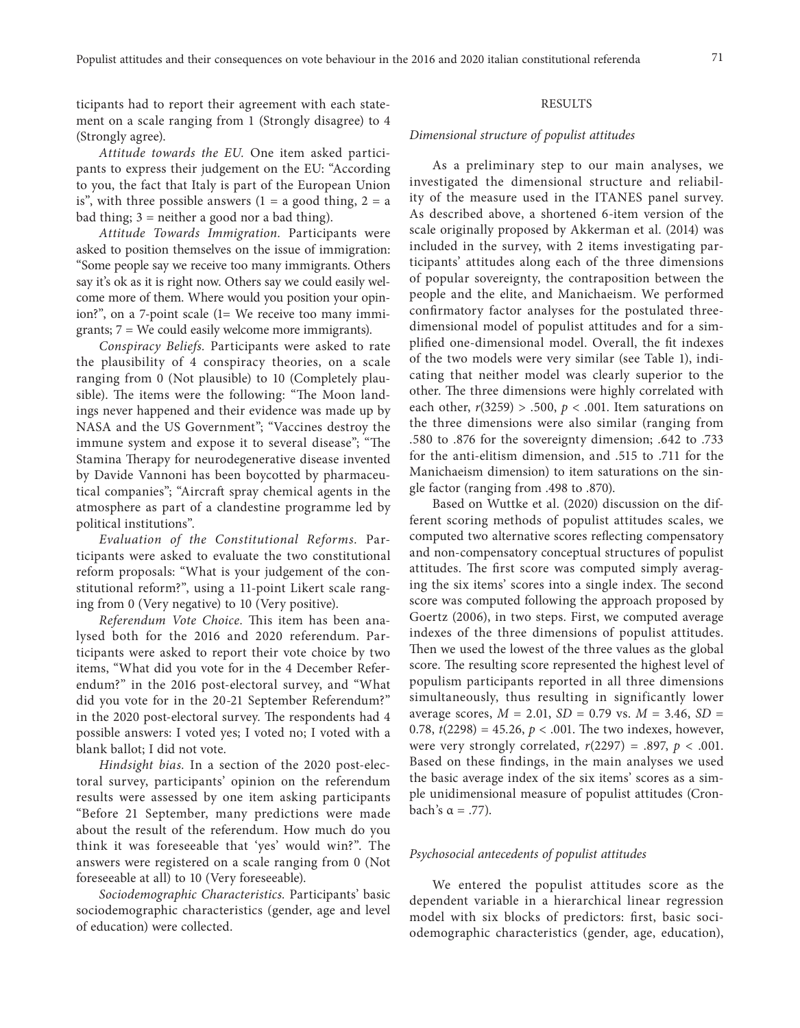ticipants had to report their agreement with each statement on a scale ranging from 1 (Strongly disagree) to 4 (Strongly agree).

*Attitude towards the EU.* One item asked participants to express their judgement on the EU: "According to you, the fact that Italy is part of the European Union is", with three possible answers  $(1 = a \text{ good thing}, 2 = a$ bad thing; 3 = neither a good nor a bad thing).

*Attitude Towards Immigration.* Participants were asked to position themselves on the issue of immigration: "Some people say we receive too many immigrants. Others say it's ok as it is right now. Others say we could easily welcome more of them. Where would you position your opinion?", on a 7-point scale (1= We receive too many immigrants; 7 = We could easily welcome more immigrants).

*Conspiracy Beliefs.* Participants were asked to rate the plausibility of 4 conspiracy theories, on a scale ranging from 0 (Not plausible) to 10 (Completely plausible). The items were the following: "The Moon landings never happened and their evidence was made up by NASA and the US Government"; "Vaccines destroy the immune system and expose it to several disease"; "The Stamina Therapy for neurodegenerative disease invented by Davide Vannoni has been boycotted by pharmaceutical companies"; "Aircraft spray chemical agents in the atmosphere as part of a clandestine programme led by political institutions".

*Evaluation of the Constitutional Reforms.* Participants were asked to evaluate the two constitutional reform proposals: "What is your judgement of the constitutional reform?", using a 11-point Likert scale ranging from 0 (Very negative) to 10 (Very positive).

*Referendum Vote Choice.* This item has been analysed both for the 2016 and 2020 referendum. Participants were asked to report their vote choice by two items, "What did you vote for in the 4 December Referendum?" in the 2016 post-electoral survey, and "What did you vote for in the 20-21 September Referendum?" in the 2020 post-electoral survey. The respondents had 4 possible answers: I voted yes; I voted no; I voted with a blank ballot; I did not vote.

*Hindsight bias.* In a section of the 2020 post-electoral survey, participants' opinion on the referendum results were assessed by one item asking participants "Before 21 September, many predictions were made about the result of the referendum. How much do you think it was foreseeable that 'yes' would win?". The answers were registered on a scale ranging from 0 (Not foreseeable at all) to 10 (Very foreseeable).

*Sociodemographic Characteristics.* Participants' basic sociodemographic characteristics (gender, age and level of education) were collected.

## RESULTS

#### *Dimensional structure of populist attitudes*

As a preliminary step to our main analyses, we investigated the dimensional structure and reliability of the measure used in the ITANES panel survey. As described above, a shortened 6-item version of the scale originally proposed by Akkerman et al. (2014) was included in the survey, with 2 items investigating participants' attitudes along each of the three dimensions of popular sovereignty, the contraposition between the people and the elite, and Manichaeism. We performed confirmatory factor analyses for the postulated threedimensional model of populist attitudes and for a simplified one-dimensional model. Overall, the fit indexes of the two models were very similar (see Table 1), indicating that neither model was clearly superior to the other. The three dimensions were highly correlated with each other,  $r(3259) > .500$ ,  $p < .001$ . Item saturations on the three dimensions were also similar (ranging from .580 to .876 for the sovereignty dimension; .642 to .733 for the anti-elitism dimension, and .515 to .711 for the Manichaeism dimension) to item saturations on the single factor (ranging from .498 to .870).

Based on Wuttke et al. (2020) discussion on the different scoring methods of populist attitudes scales, we computed two alternative scores reflecting compensatory and non-compensatory conceptual structures of populist attitudes. The first score was computed simply averaging the six items' scores into a single index. The second score was computed following the approach proposed by Goertz (2006), in two steps. First, we computed average indexes of the three dimensions of populist attitudes. Then we used the lowest of the three values as the global score. The resulting score represented the highest level of populism participants reported in all three dimensions simultaneously, thus resulting in significantly lower average scores, *M* = 2.01, *SD* = 0.79 vs. *M* = 3.46, *SD* = 0.78,  $t(2298) = 45.26$ ,  $p < .001$ . The two indexes, however, were very strongly correlated, *r*(2297) = .897, *p* < .001. Based on these findings, in the main analyses we used the basic average index of the six items' scores as a simple unidimensional measure of populist attitudes (Cronbach's α = .77).

#### *Psychosocial antecedents of populist attitudes*

We entered the populist attitudes score as the dependent variable in a hierarchical linear regression model with six blocks of predictors: first, basic sociodemographic characteristics (gender, age, education),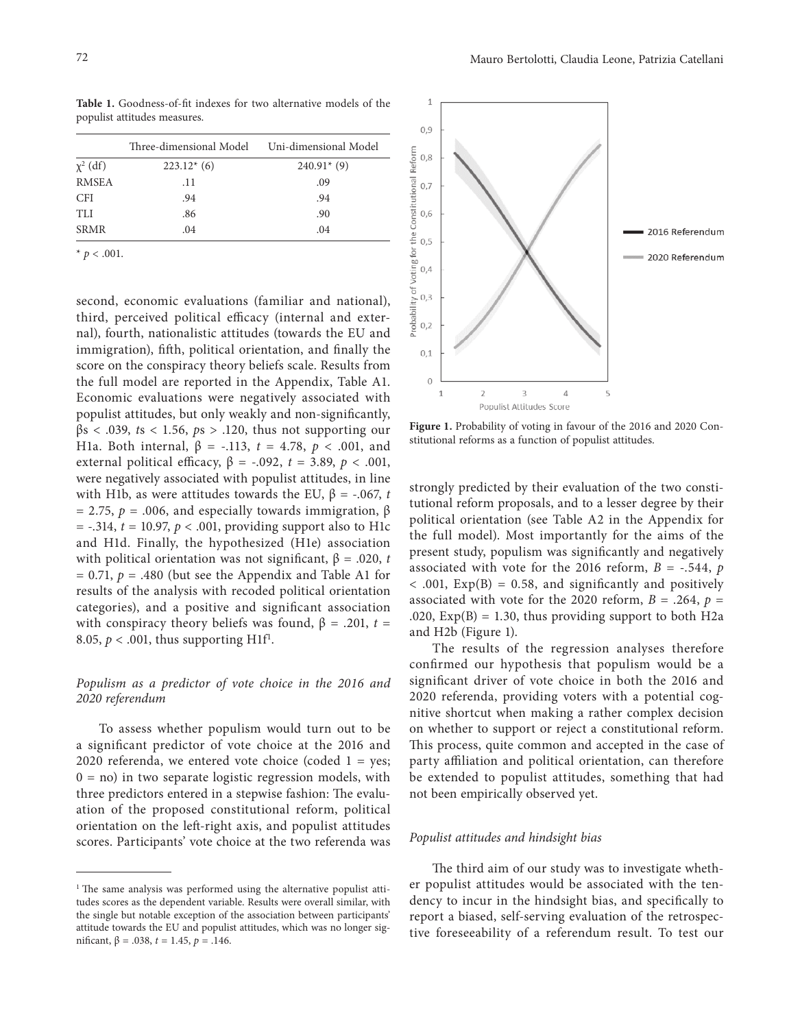Table 1. Goodness-of-fit indexes for two alternative models of the populist attitudes measures.

|               | Three-dimensional Model Uni-dimensional Model |               |  |  |
|---------------|-----------------------------------------------|---------------|--|--|
| $\chi^2$ (df) | $223.12*(6)$                                  | $240.91*$ (9) |  |  |
| <b>RMSEA</b>  | .11                                           | .09           |  |  |
| <b>CFI</b>    | .94                                           | .94           |  |  |
| <b>TLI</b>    | .86                                           | .90           |  |  |
| <b>SRMR</b>   | .04                                           | .04           |  |  |
|               |                                               |               |  |  |

 $*$  *p* < .001.

second, economic evaluations (familiar and national), third, perceived political efficacy (internal and external), fourth, nationalistic attitudes (towards the EU and immigration), fifth, political orientation, and finally the score on the conspiracy theory beliefs scale. Results from the full model are reported in the Appendix, Table A1. Economic evaluations were negatively associated with populist attitudes, but only weakly and non-significantly,  $\beta$ s < .039, *t*s < 1.56, *ps* > .120, thus not supporting our H1a. Both internal,  $β = -.113$ ,  $t = 4.78$ ,  $p < .001$ , and external political efficacy,  $β = -.092$ ,  $t = 3.89$ ,  $p < .001$ , were negatively associated with populist attitudes, in line with H1b, as were attitudes towards the EU,  $\beta$  = -.067, *t* = 2.75,  $p = .006$ , and especially towards immigration,  $\beta$  $=$  -.314,  $t = 10.97$ ,  $p < .001$ , providing support also to H1c and H1d. Finally, the hypothesized (H1e) association with political orientation was not significant,  $β = .020, t$  $= 0.71$ ,  $p = .480$  (but see the Appendix and Table A1 for results of the analysis with recoded political orientation categories), and a positive and significant association with conspiracy theory beliefs was found,  $\beta$  = .201, *t* = 8.05,  $p < .001$ , thus supporting H1f<sup>1</sup>.

# *Populism as a predictor of vote choice in the 2016 and 2020 referendum*

To assess whether populism would turn out to be a significant predictor of vote choice at the 2016 and 2020 referenda, we entered vote choice (coded  $1 = yes$ ;  $0 =$  no) in two separate logistic regression models, with three predictors entered in a stepwise fashion: The evaluation of the proposed constitutional reform, political orientation on the left-right axis, and populist attitudes scores. Participants' vote choice at the two referenda was



Figure 1. Probability of voting in favour of the 2016 and 2020 Constitutional reforms as a function of populist attitudes.

strongly predicted by their evaluation of the two constitutional reform proposals, and to a lesser degree by their political orientation (see Table A2 in the Appendix for the full model). Most importantly for the aims of the present study, populism was significantly and negatively associated with vote for the 2016 reform,  $B = -.544$ ,  $p$  $<$  .001,  $Exp(B) = 0.58$ , and significantly and positively associated with vote for the 2020 reform,  $B = .264$ ,  $p =$ .020,  $Exp(B) = 1.30$ , thus providing support to both H2a and H2b (Figure 1).

The results of the regression analyses therefore confirmed our hypothesis that populism would be a significant driver of vote choice in both the 2016 and 2020 referenda, providing voters with a potential cognitive shortcut when making a rather complex decision on whether to support or reject a constitutional reform. This process, quite common and accepted in the case of party affiliation and political orientation, can therefore be extended to populist attitudes, something that had not been empirically observed yet.

#### *Populist attitudes and hindsight bias*

The third aim of our study was to investigate whether populist attitudes would be associated with the tendency to incur in the hindsight bias, and specifically to report a biased, self-serving evaluation of the retrospective foreseeability of a referendum result. To test our

<sup>&</sup>lt;sup>1</sup> The same analysis was performed using the alternative populist attitudes scores as the dependent variable. Results were overall similar, with the single but notable exception of the association between participants' attitude towards the EU and populist attitudes, which was no longer significant,  $β = .038$ ,  $t = 1.45$ ,  $p = .146$ .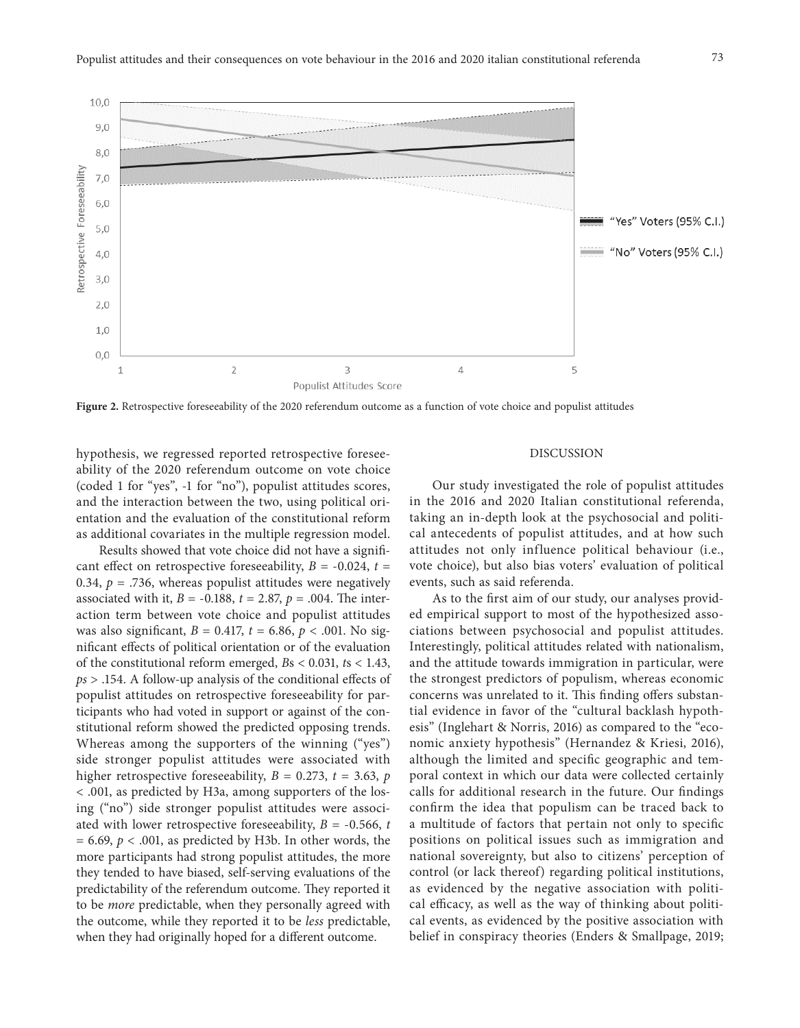



Figure 2. Retrospective foreseeability of the 2020 referendum outcome as a function of vote choice and populist attitudes

hypothesis, we regressed reported retrospective foreseeability of the 2020 referendum outcome on vote choice (coded 1 for "yes", -1 for "no"), populist attitudes scores, and the interaction between the two, using political orientation and the evaluation of the constitutional reform as additional covariates in the multiple regression model.

Results showed that vote choice did not have a significant effect on retrospective foreseeability,  $B = -0.024$ ,  $t =$ 0.34,  $p = .736$ , whereas populist attitudes were negatively associated with it,  $B = -0.188$ ,  $t = 2.87$ ,  $p = .004$ . The interaction term between vote choice and populist attitudes was also significant, *B* = 0.417, *t* = 6.86, *p* < .001. No significant effects of political orientation or of the evaluation of the constitutional reform emerged, *B*s < 0.031, *t*s < 1.43, *ps* > .154. A follow-up analysis of the conditional effects of populist attitudes on retrospective foreseeability for participants who had voted in support or against of the constitutional reform showed the predicted opposing trends. Whereas among the supporters of the winning ("yes") side stronger populist attitudes were associated with higher retrospective foreseeability,  $B = 0.273$ ,  $t = 3.63$ ,  $p$ < .001, as predicted by H3a, among supporters of the losing ("no") side stronger populist attitudes were associated with lower retrospective foreseeability, *B* = -0.566, *t*  $= 6.69$ ,  $p < .001$ , as predicted by H3b. In other words, the more participants had strong populist attitudes, the more they tended to have biased, self-serving evaluations of the predictability of the referendum outcome. They reported it to be *more* predictable, when they personally agreed with the outcome, while they reported it to be *less* predictable, when they had originally hoped for a different outcome.

### DISCUSSION

Our study investigated the role of populist attitudes in the 2016 and 2020 Italian constitutional referenda, taking an in-depth look at the psychosocial and political antecedents of populist attitudes, and at how such attitudes not only influence political behaviour (i.e., vote choice), but also bias voters' evaluation of political events, such as said referenda.

As to the first aim of our study, our analyses provided empirical support to most of the hypothesized associations between psychosocial and populist attitudes. Interestingly, political attitudes related with nationalism, and the attitude towards immigration in particular, were the strongest predictors of populism, whereas economic concerns was unrelated to it. This finding offers substantial evidence in favor of the "cultural backlash hypothesis" (Inglehart & Norris, 2016) as compared to the "economic anxiety hypothesis" (Hernandez & Kriesi, 2016), although the limited and specific geographic and temporal context in which our data were collected certainly calls for additional research in the future. Our findings confirm the idea that populism can be traced back to a multitude of factors that pertain not only to specific positions on political issues such as immigration and national sovereignty, but also to citizens' perception of control (or lack thereof) regarding political institutions, as evidenced by the negative association with political efficacy, as well as the way of thinking about political events, as evidenced by the positive association with belief in conspiracy theories (Enders & Smallpage, 2019;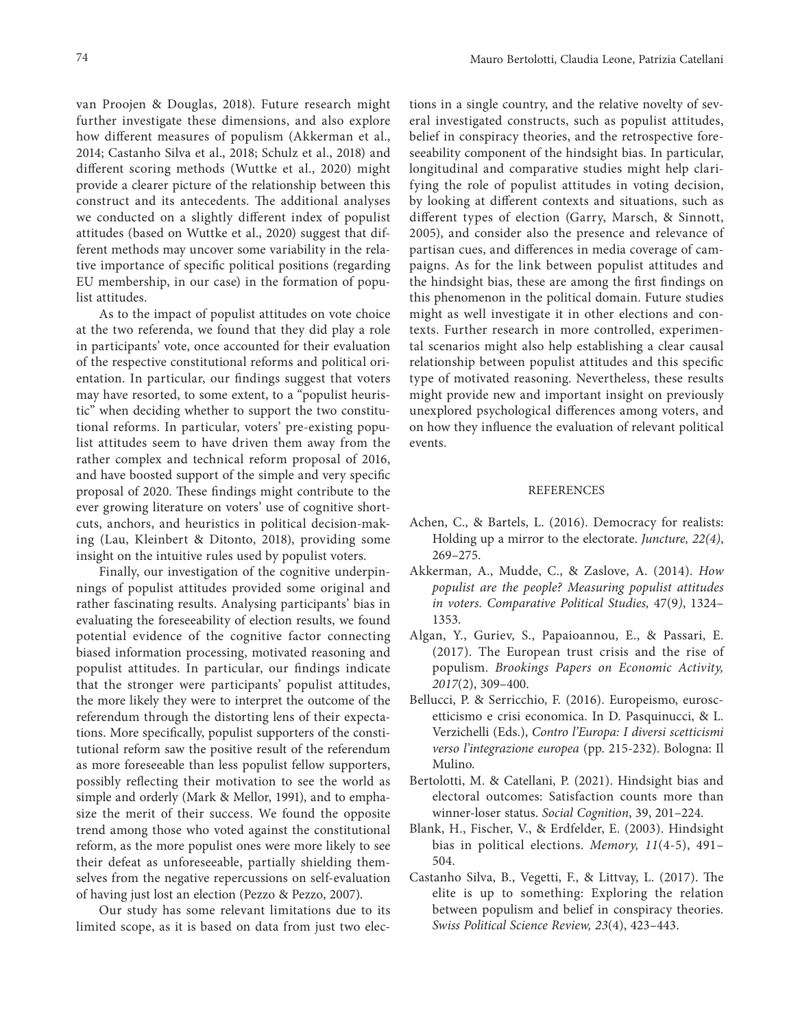van Proojen & Douglas, 2018). Future research might further investigate these dimensions, and also explore how different measures of populism (Akkerman et al., 2014; Castanho Silva et al., 2018; Schulz et al., 2018) and different scoring methods (Wuttke et al., 2020) might provide a clearer picture of the relationship between this construct and its antecedents. The additional analyses we conducted on a slightly different index of populist attitudes (based on Wuttke et al., 2020) suggest that different methods may uncover some variability in the relative importance of specific political positions (regarding EU membership, in our case) in the formation of populist attitudes.

As to the impact of populist attitudes on vote choice at the two referenda, we found that they did play a role in participants' vote, once accounted for their evaluation of the respective constitutional reforms and political orientation. In particular, our findings suggest that voters may have resorted, to some extent, to a "populist heuristic" when deciding whether to support the two constitutional reforms. In particular, voters' pre-existing populist attitudes seem to have driven them away from the rather complex and technical reform proposal of 2016, and have boosted support of the simple and very specific proposal of 2020. These findings might contribute to the ever growing literature on voters' use of cognitive shortcuts, anchors, and heuristics in political decision-making (Lau, Kleinbert & Ditonto, 2018), providing some insight on the intuitive rules used by populist voters.

Finally, our investigation of the cognitive underpinnings of populist attitudes provided some original and rather fascinating results. Analysing participants' bias in evaluating the foreseeability of election results, we found potential evidence of the cognitive factor connecting biased information processing, motivated reasoning and populist attitudes. In particular, our findings indicate that the stronger were participants' populist attitudes, the more likely they were to interpret the outcome of the referendum through the distorting lens of their expectations. More specifically, populist supporters of the constitutional reform saw the positive result of the referendum as more foreseeable than less populist fellow supporters, possibly reflecting their motivation to see the world as simple and orderly (Mark & Mellor, 1991), and to emphasize the merit of their success. We found the opposite trend among those who voted against the constitutional reform, as the more populist ones were more likely to see their defeat as unforeseeable, partially shielding themselves from the negative repercussions on self-evaluation of having just lost an election (Pezzo & Pezzo, 2007).

Our study has some relevant limitations due to its limited scope, as it is based on data from just two elec-

tions in a single country, and the relative novelty of several investigated constructs, such as populist attitudes, belief in conspiracy theories, and the retrospective foreseeability component of the hindsight bias. In particular, longitudinal and comparative studies might help clarifying the role of populist attitudes in voting decision, by looking at different contexts and situations, such as different types of election (Garry, Marsch, & Sinnott, 2005), and consider also the presence and relevance of partisan cues, and differences in media coverage of campaigns. As for the link between populist attitudes and the hindsight bias, these are among the first findings on this phenomenon in the political domain. Future studies might as well investigate it in other elections and contexts. Further research in more controlled, experimental scenarios might also help establishing a clear causal relationship between populist attitudes and this specific type of motivated reasoning. Nevertheless, these results might provide new and important insight on previously unexplored psychological differences among voters, and on how they influence the evaluation of relevant political events.

#### **REFERENCES**

- Achen, C., & Bartels, L. (2016). Democracy for realists: Holding up a mirror to the electorate. *Juncture, 22(4)*, 269–275.
- Akkerman, A., Mudde, C., & Zaslove, A. (2014). *How populist are the people? Measuring populist attitudes in voters. Comparative Political Studies,* 47(9*)*, 1324– 1353.
- Algan, Y., Guriev, S., Papaioannou, E., & Passari, E. (2017). The European trust crisis and the rise of populism. *Brookings Papers on Economic Activity, 2017*(2), 309–400.
- Bellucci, P. & Serricchio, F. (2016). Europeismo, euroscetticismo e crisi economica. In D. Pasquinucci, & L. Verzichelli (Eds.), *Contro l'Europa: I diversi scetticismi verso l'integrazione europea* (pp. 215-232). Bologna: Il Mulino.
- Bertolotti, M. & Catellani, P. (2021). Hindsight bias and electoral outcomes: Satisfaction counts more than winner-loser status. *Social Cognition*, 39, 201–224.
- Blank, H., Fischer, V., & Erdfelder, E. (2003). Hindsight bias in political elections. *Memory, 11*(4-5), 491– 504.
- Castanho Silva, B., Vegetti, F., & Littvay, L. (2017). The elite is up to something: Exploring the relation between populism and belief in conspiracy theories. *Swiss Political Science Review, 23*(4), 423–443.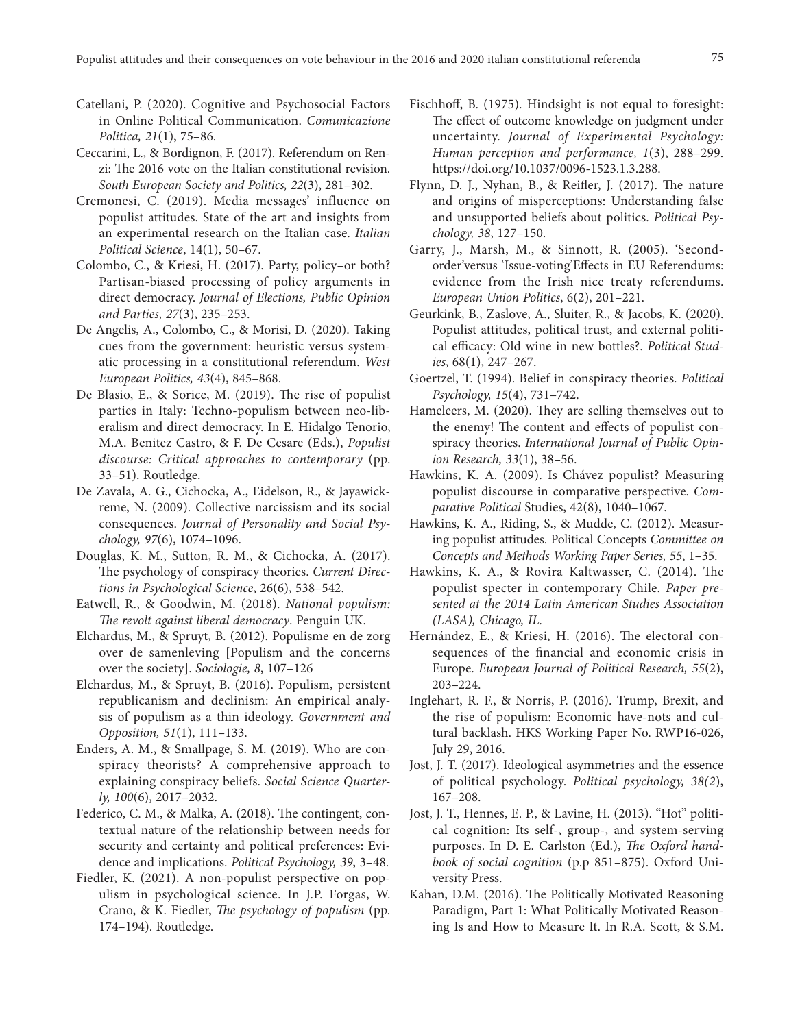- Catellani, P. (2020). Cognitive and Psychosocial Factors in Online Political Communication. *Comunicazione Politica, 21*(1), 75–86.
- Ceccarini, L., & Bordignon, F. (2017). Referendum on Renzi: The 2016 vote on the Italian constitutional revision. *South European Society and Politics, 22*(3), 281–302.
- Cremonesi, C. (2019). Media messages' influence on populist attitudes. State of the art and insights from an experimental research on the Italian case. *Italian Political Science*, 14(1), 50–67.
- Colombo, C., & Kriesi, H. (2017). Party, policy–or both? Partisan-biased processing of policy arguments in direct democracy. *Journal of Elections, Public Opinion and Parties, 27*(3), 235–253.
- De Angelis, A., Colombo, C., & Morisi, D. (2020). Taking cues from the government: heuristic versus systematic processing in a constitutional referendum. *West European Politics, 43*(4), 845–868.
- De Blasio, E., & Sorice, M. (2019). The rise of populist parties in Italy: Techno-populism between neo-liberalism and direct democracy. In E. Hidalgo Tenorio, M.A. Benitez Castro, & F. De Cesare (Eds.), *Populist discourse: Critical approaches to contemporary* (pp. 33–51). Routledge.
- De Zavala, A. G., Cichocka, A., Eidelson, R., & Jayawickreme, N. (2009). Collective narcissism and its social consequences. *Journal of Personality and Social Psychology, 97*(6), 1074–1096.
- Douglas, K. M., Sutton, R. M., & Cichocka, A. (2017). The psychology of conspiracy theories. *Current Directions in Psychological Science*, 26(6), 538–542.
- Eatwell, R., & Goodwin, M. (2018). *National populism: The revolt against liberal democracy*. Penguin UK.
- Elchardus, M., & Spruyt, B. (2012). Populisme en de zorg over de samenleving [Populism and the concerns over the society]. *Sociologie, 8*, 107–126
- Elchardus, M., & Spruyt, B. (2016). Populism, persistent republicanism and declinism: An empirical analysis of populism as a thin ideology. *Government and Opposition, 51*(1), 111–133.
- Enders, A. M., & Smallpage, S. M. (2019). Who are conspiracy theorists? A comprehensive approach to explaining conspiracy beliefs. *Social Science Quarterly, 100*(6), 2017–2032.
- Federico, C. M., & Malka, A. (2018). The contingent, contextual nature of the relationship between needs for security and certainty and political preferences: Evidence and implications. *Political Psychology, 39*, 3–48.
- Fiedler, K. (2021). A non-populist perspective on populism in psychological science. In J.P. Forgas, W. Crano, & K. Fiedler, *The psychology of populism* (pp. 174–194). Routledge.
- Fischhoff, B. (1975). Hindsight is not equal to foresight: The effect of outcome knowledge on judgment under uncertainty. *Journal of Experimental Psychology: Human perception and performance, 1*(3), 288–299. https://doi.org/10.1037/0096-1523.1.3.288.
- Flynn, D. J., Nyhan, B., & Reifler, J. (2017). The nature and origins of misperceptions: Understanding false and unsupported beliefs about politics. *Political Psychology, 38*, 127–150.
- Garry, J., Marsh, M., & Sinnott, R. (2005). 'Secondorder'versus 'Issue-voting'Effects in EU Referendums: evidence from the Irish nice treaty referendums. *European Union Politics*, 6(2), 201–221.
- Geurkink, B., Zaslove, A., Sluiter, R., & Jacobs, K. (2020). Populist attitudes, political trust, and external political efficacy: Old wine in new bottles?. *Political Studies*, 68(1), 247–267.
- Goertzel, T. (1994). Belief in conspiracy theories. *Political Psychology, 15*(4), 731–742.
- Hameleers, M. (2020). They are selling themselves out to the enemy! The content and effects of populist conspiracy theories. *International Journal of Public Opinion Research, 33*(1), 38–56.
- Hawkins, K. A. (2009). Is Chávez populist? Measuring populist discourse in comparative perspective. *Comparative Political* Studies, 42(8), 1040–1067.
- Hawkins, K. A., Riding, S., & Mudde, C. (2012). Measuring populist attitudes. Political Concepts *Committee on Concepts and Methods Working Paper Series, 55*, 1–35.
- Hawkins, K. A., & Rovira Kaltwasser, C. (2014). The populist specter in contemporary Chile. *Paper presented at the 2014 Latin American Studies Association (LASA), Chicago, IL.*
- Hernández, E., & Kriesi, H. (2016). The electoral consequences of the financial and economic crisis in Europe. *European Journal of Political Research, 55*(2), 203–224.
- Inglehart, R. F., & Norris, P. (2016). Trump, Brexit, and the rise of populism: Economic have-nots and cultural backlash. HKS Working Paper No. RWP16-026, July 29, 2016.
- Jost, J. T. (2017). Ideological asymmetries and the essence of political psychology. *Political psychology, 38(2*), 167–208.
- Jost, J. T., Hennes, E. P., & Lavine, H. (2013). "Hot" political cognition: Its self-, group-, and system-serving purposes. In D. E. Carlston (Ed.), *The Oxford handbook of social cognition* (p.p 851–875). Oxford University Press.
- Kahan, D.M. (2016). The Politically Motivated Reasoning Paradigm, Part 1: What Politically Motivated Reasoning Is and How to Measure It. In R.A. Scott, & S.M.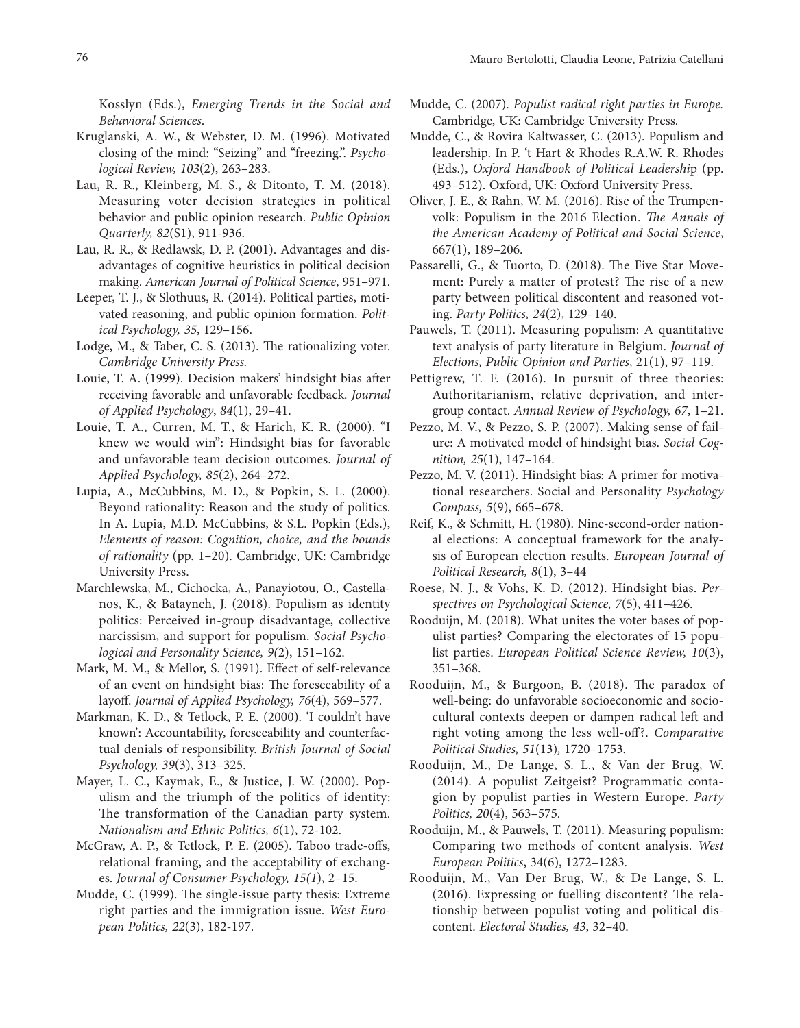Kosslyn (Eds.), *Emerging Trends in the Social and Behavioral Sciences*.

- Kruglanski, A. W., & Webster, D. M. (1996). Motivated closing of the mind: "Seizing" and "freezing.". *Psychological Review, 103*(2), 263–283.
- Lau, R. R., Kleinberg, M. S., & Ditonto, T. M. (2018). Measuring voter decision strategies in political behavior and public opinion research. *Public Opinion Quarterly, 82*(S1), 911-936.
- Lau, R. R., & Redlawsk, D. P. (2001). Advantages and disadvantages of cognitive heuristics in political decision making. *American Journal of Political Science*, 951–971.
- Leeper, T. J., & Slothuus, R. (2014). Political parties, motivated reasoning, and public opinion formation. *Political Psychology, 35*, 129–156.
- Lodge, M., & Taber, C. S. (2013). The rationalizing voter. *Cambridge University Press.*
- Louie, T. A. (1999). Decision makers' hindsight bias after receiving favorable and unfavorable feedback. *Journal of Applied Psychology*, *84*(1), 29–41.
- Louie, T. A., Curren, M. T., & Harich, K. R. (2000). "I knew we would win": Hindsight bias for favorable and unfavorable team decision outcomes. *Journal of Applied Psychology, 85*(2), 264–272.
- Lupia, A., McCubbins, M. D., & Popkin, S. L. (2000). Beyond rationality: Reason and the study of politics. In A. Lupia, M.D. McCubbins, & S.L. Popkin (Eds.), *Elements of reason: Cognition, choice, and the bounds of rationality* (pp. 1–20). Cambridge, UK: Cambridge University Press.
- Marchlewska, M., Cichocka, A., Panayiotou, O., Castellanos, K., & Batayneh, J. (2018). Populism as identity politics: Perceived in-group disadvantage, collective narcissism, and support for populism. *Social Psychological and Personality Science, 9(*2), 151–162.
- Mark, M. M., & Mellor, S. (1991). Effect of self-relevance of an event on hindsight bias: The foreseeability of a layoff. *Journal of Applied Psychology, 76*(4), 569–577.
- Markman, K. D., & Tetlock, P. E. (2000). 'I couldn't have known': Accountability, foreseeability and counterfactual denials of responsibility. *British Journal of Social Psychology, 39*(3), 313–325.
- Mayer, L. C., Kaymak, E., & Justice, J. W. (2000). Populism and the triumph of the politics of identity: The transformation of the Canadian party system. *Nationalism and Ethnic Politics, 6*(1), 72-102.
- McGraw, A. P., & Tetlock, P. E. (2005). Taboo trade‐offs, relational framing, and the acceptability of exchanges. *Journal of Consumer Psychology, 15(1*), 2–15.
- Mudde, C. (1999). The single‐issue party thesis: Extreme right parties and the immigration issue. *West European Politics, 22*(3), 182-197.
- Mudde, C. (2007). *Populist radical right parties in Europe.* Cambridge, UK: Cambridge University Press.
- Mudde, C., & Rovira Kaltwasser, C. (2013). Populism and leadership. In P. 't Hart & Rhodes R.A.W. R. Rhodes (Eds.), *Oxford Handbook of Political Leadershi*p (pp. 493–512). Oxford, UK: Oxford University Press.
- Oliver, J. E., & Rahn, W. M. (2016). Rise of the Trumpenvolk: Populism in the 2016 Election. *The Annals of the American Academy of Political and Social Science*, 667(1), 189–206.
- Passarelli, G., & Tuorto, D. (2018). The Five Star Movement: Purely a matter of protest? The rise of a new party between political discontent and reasoned voting. *Party Politics, 24*(2), 129–140.
- Pauwels, T. (2011). Measuring populism: A quantitative text analysis of party literature in Belgium. *Journal of Elections, Public Opinion and Parties*, 21(1), 97–119.
- Pettigrew, T. F. (2016). In pursuit of three theories: Authoritarianism, relative deprivation, and intergroup contact. *Annual Review of Psychology, 67*, 1–21.
- Pezzo, M. V., & Pezzo, S. P. (2007). Making sense of failure: A motivated model of hindsight bias. *Social Cognition, 25*(1), 147–164.
- Pezzo, M. V. (2011). Hindsight bias: A primer for motivational researchers. Social and Personality *Psychology Compass, 5*(9), 665–678.
- Reif, K., & Schmitt, H. (1980). Nine-second-order national elections: A conceptual framework for the analysis of European election results. *European Journal of Political Research, 8*(1), 3–44
- Roese, N. J., & Vohs, K. D. (2012). Hindsight bias. *Perspectives on Psychological Science, 7*(5), 411–426.
- Rooduijn, M. (2018). What unites the voter bases of populist parties? Comparing the electorates of 15 populist parties. *European Political Science Review, 10*(3), 351–368.
- Rooduijn, M., & Burgoon, B. (2018). The paradox of well-being: do unfavorable socioeconomic and sociocultural contexts deepen or dampen radical left and right voting among the less well-off?. *Comparative Political Studies, 51*(13)*,* 1720–1753.
- Rooduijn, M., De Lange, S. L., & Van der Brug, W. (2014). A populist Zeitgeist? Programmatic contagion by populist parties in Western Europe. *Party Politics, 20*(4), 563–575.
- Rooduijn, M., & Pauwels, T. (2011). Measuring populism: Comparing two methods of content analysis. *West European Politics*, 34(6), 1272–1283.
- Rooduijn, M., Van Der Brug, W., & De Lange, S. L. (2016). Expressing or fuelling discontent? The relationship between populist voting and political discontent. *Electoral Studies, 43*, 32–40.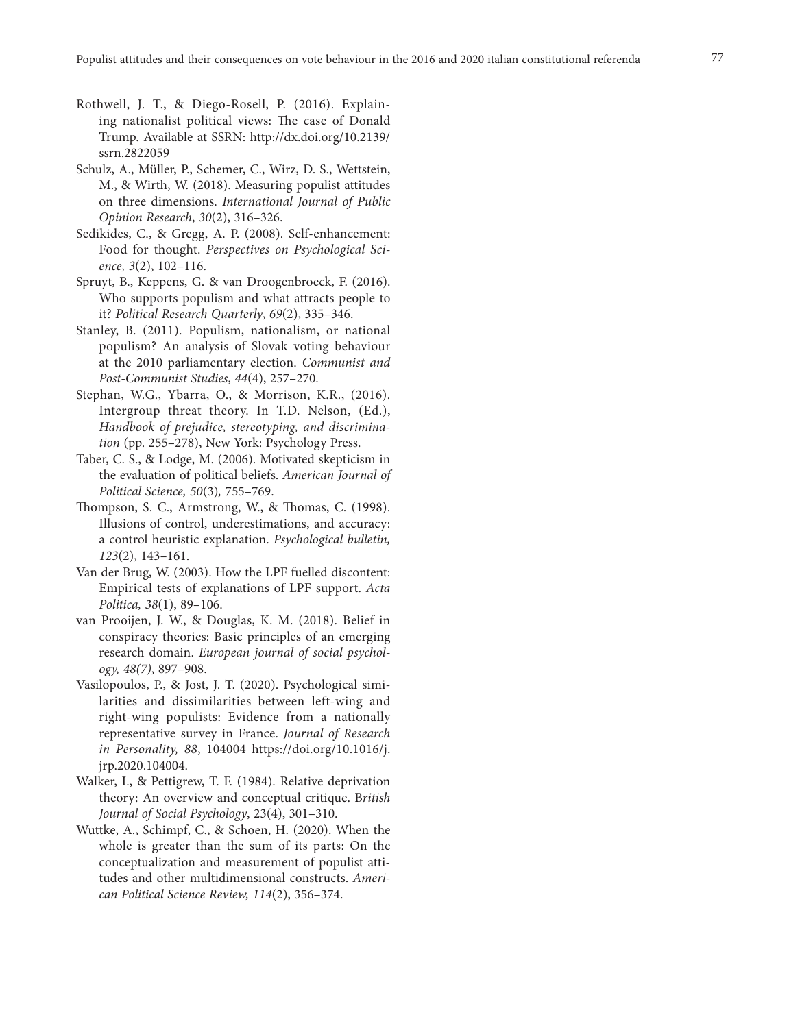- Rothwell, J. T., & Diego-Rosell, P. (2016). Explaining nationalist political views: The case of Donald Trump. Available at SSRN: http://dx.doi.org/10.2139/ ssrn.2822059
- Schulz, A., Müller, P., Schemer, C., Wirz, D. S., Wettstein, M., & Wirth, W. (2018). Measuring populist attitudes on three dimensions. *International Journal of Public Opinion Research*, *30*(2), 316–326.
- Sedikides, C., & Gregg, A. P. (2008). Self-enhancement: Food for thought. *Perspectives on Psychological Science, 3*(2), 102–116.
- Spruyt, B., Keppens, G. & van Droogenbroeck, F. (2016). Who supports populism and what attracts people to it? *Political Research Quarterly*, *69*(2), 335–346.
- Stanley, B. (2011). Populism, nationalism, or national populism? An analysis of Slovak voting behaviour at the 2010 parliamentary election. *Communist and Post-Communist Studies*, *44*(4), 257–270.
- Stephan, W.G., Ybarra, O., & Morrison, K.R., (2016). Intergroup threat theory. In T.D. Nelson, (Ed.), *Handbook of prejudice, stereotyping, and discrimination* (pp. 255–278), New York: Psychology Press.
- Taber, C. S., & Lodge, M. (2006). Motivated skepticism in the evaluation of political beliefs. *American Journal of Political Science, 50*(3)*,* 755–769.
- Thompson, S. C., Armstrong, W., & Thomas, C. (1998). Illusions of control, underestimations, and accuracy: a control heuristic explanation. *Psychological bulletin, 123*(2), 143–161.
- Van der Brug, W. (2003). How the LPF fuelled discontent: Empirical tests of explanations of LPF support. *Acta Politica, 38*(1), 89–106.
- van Prooijen, J. W., & Douglas, K. M. (2018). Belief in conspiracy theories: Basic principles of an emerging research domain. *European journal of social psychology, 48(7)*, 897–908.
- Vasilopoulos, P., & Jost, J. T. (2020). Psychological similarities and dissimilarities between left-wing and right-wing populists: Evidence from a nationally representative survey in France. *Journal of Research in Personality, 88*, 104004 https://doi.org/10.1016/j. jrp.2020.104004.
- Walker, I., & Pettigrew, T. F. (1984). Relative deprivation theory: An overview and conceptual critique. B*ritish Journal of Social Psychology*, 23(4), 301–310.
- Wuttke, A., Schimpf, C., & Schoen, H. (2020). When the whole is greater than the sum of its parts: On the conceptualization and measurement of populist attitudes and other multidimensional constructs. *American Political Science Review, 114*(2), 356–374.